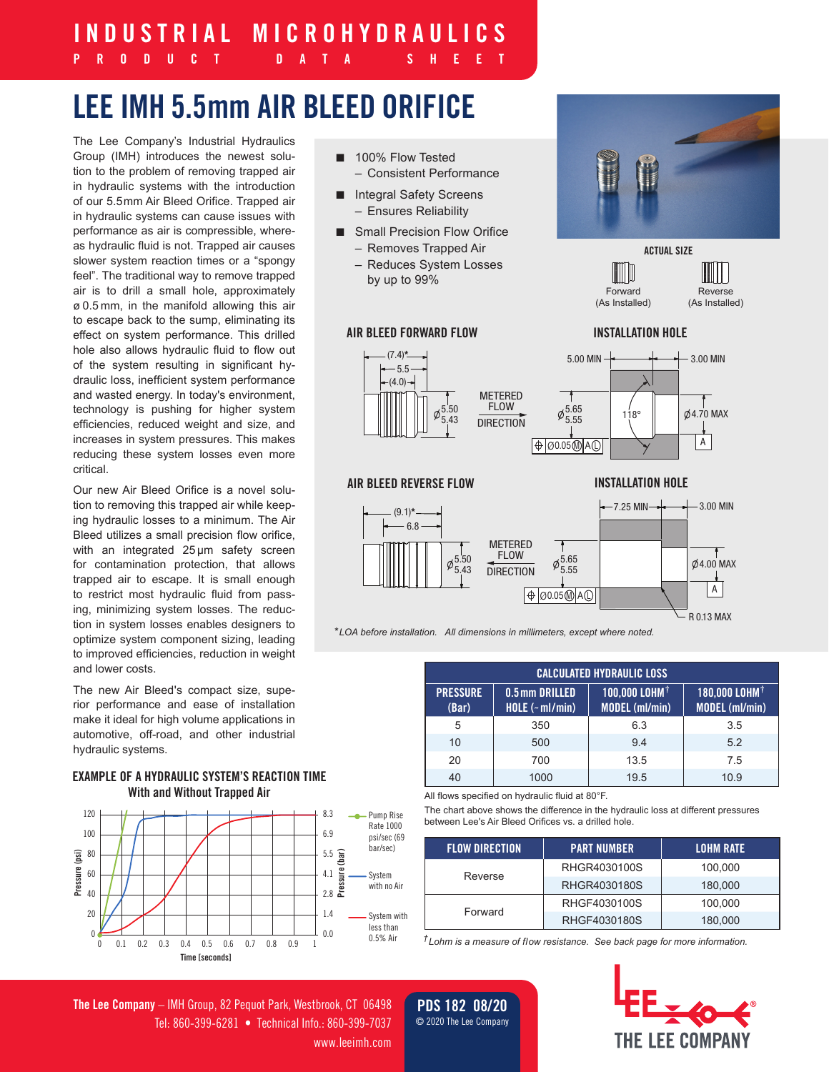# **INDUSTRIAL MICROHYDRAULICS**

## **PRODUCT DATA SHEET**

# **LEE IMH 5.5mm AIR BLEED ORIFICE**

The Lee Company's Industrial Hydraulics Group (IMH) introduces the newest solution to the problem of removing trapped air in hydraulic systems with the introduction of our 5.5mm Air Bleed Orifice. Trapped air in hydraulic systems can cause issues with performance as air is compressible, whereas hydraulic fluid is not. Trapped air causes slower system reaction times or a "spongy feel". The traditional way to remove trapped air is to drill a small hole, approximately ø 0.5 mm, in the manifold allowing this air to escape back to the sump, eliminating its effect on system performance. This drilled hole also allows hydraulic fluid to flow out of the system resulting in significant hydraulic loss, inefficient system performance and wasted energy. In today's environment, technology is pushing for higher system efficiencies, reduced weight and size, and increases in system pressures. This makes reducing these system losses even more critical.

Our new Air Bleed Orifice is a novel solution to removing this trapped air while keeping hydraulic losses to a minimum. The Air Bleed utilizes a small precision flow orifice, with an integrated 25 um safety screen for contamination protection, that allows trapped air to escape. It is small enough to restrict most hydraulic fluid from passing, minimizing system losses. The reduction in system losses enables designers to optimize system component sizing, leading to improved efficiencies, reduction in weight and lower costs.

The new Air Bleed's compact size, superior performance and ease of installation make it ideal for high volume applications in automotive, off-road, and other industrial hydraulic systems.

### **EXAMPLE OF A HYDRAULIC SYSTEM'S REACTION TIME With and Without Trapped Air**



- 100% Flow Tested – Consistent Performance
- Integral Safety Screens – Ensures Reliability
- Small Precision Flow Orifice
	- Removes Trapped Air
	- Reduces System Losses by up to 99%

#### **AIR BLEED FORWARD FLOW**





**ACTUAL SIZE**

Reverse (As Installed)

#### **INSTALLATION HOLE**

Forward (As Installed)

ШW



#### **AIR BLEED REVERSE FLOW INSTALLATION HOLE**



*\*LOA before installation. All dimensions in millimeters, except where noted.*

| <b>CALCULATED HYDRAULIC LOSS</b> |                                   |                                                    |                                                    |  |  |  |
|----------------------------------|-----------------------------------|----------------------------------------------------|----------------------------------------------------|--|--|--|
| <b>PRESSURE</b><br>(Bar)         | 0.5mm DRILLED<br>HOLE $(-ml/min)$ | 100,000 LOHM <sup>†</sup><br><b>MODEL (ml/min)</b> | 180,000 LOHM <sup>+</sup><br><b>MODEL</b> (ml/min) |  |  |  |
| 5                                | 350                               | 6.3                                                | 3.5                                                |  |  |  |
| 10                               | 500                               | 9.4                                                | 5.2                                                |  |  |  |
| 20                               | 700                               | 13.5                                               | 7.5                                                |  |  |  |
| 40                               | 1000                              | 19.5                                               | 10.9                                               |  |  |  |

All flows specified on hydraulic fluid at 80°F.

The chart above shows the difference in the hydraulic loss at different pressures between Lee's Air Bleed Orifices vs. a drilled hole.

| <b>FLOW DIRECTION</b> | <b>PART NUMBER</b> | <b>LOHM RATE</b> |
|-----------------------|--------------------|------------------|
|                       | RHGR4030100S       | 100.000          |
| Reverse               | RHGR4030180S       | 180.000          |
|                       | RHGF4030100S       | 100.000          |
| Forward               | RHGF4030180S       | 180.000          |

*†Lohm is a measure of flow resistance. See back page for more information.*

**The Lee Company** – IMH Group, 82 Pequot Park, Westbrook, CT 06498 Tel: 860-399-6281 • Technical Info.: 860-399-7037 www.leeimh.com

**PDS 182 08/20** © 2020 The Lee Company